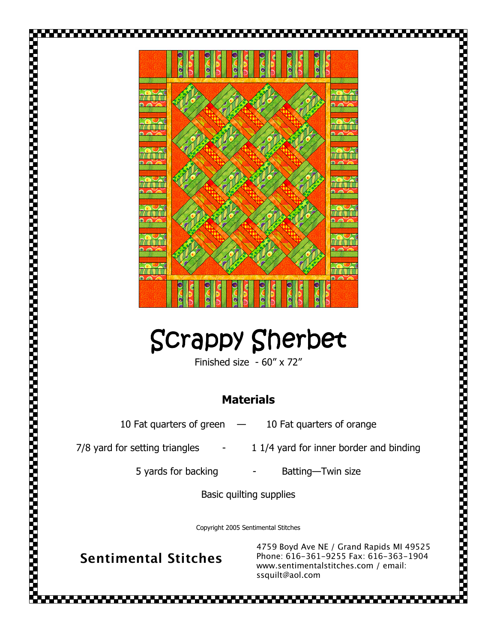

## Scrappy Sherbet

Finished size - 60" x 72"

## Materials

10 Fat quarters of green - 10 Fat quarters of orange

 $7/8$  yard for setting triangles  $11/4$  yard for inner border and binding

5 yards for backing - Batting-Twin size

Basic quilting supplies

Copyright 2005 Sentimental Stitches

Sentimental Stitches

4759 Boyd Ave NE / Grand Rapids MI 49525 Phone: 616-361-9255 Fax: 616-363-1904 www.sentimentalstitches.com / email: ssquilt@aol.com